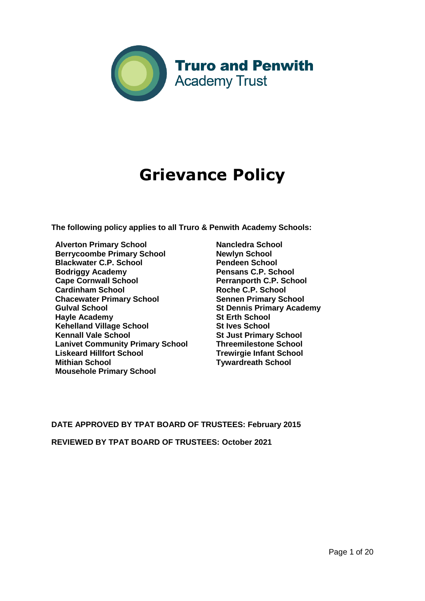

# **Grievance Policy**

**The following policy applies to all Truro & Penwith Academy Schools:** 

- **Alverton Primary School Berrycoombe Primary School Blackwater C.P. School Bodriggy Academy Cape Cornwall School Cardinham School Chacewater Primary School Gulval School Hayle Academy Kehelland Village School Kennall Vale School Lanivet Community Primary School Liskeard Hillfort School Mithian School Mousehole Primary School**
- **Nancledra School Newlyn School Pendeen School Pensans C.P. School Perranporth C.P. School Roche C.P. School Sennen Primary School St Dennis Primary Academy St Erth School St Ives School St Just Primary School Threemilestone School Trewirgie Infant School Tywardreath School**

# **DATE APPROVED BY TPAT BOARD OF TRUSTEES: February 2015**

**REVIEWED BY TPAT BOARD OF TRUSTEES: October 2021**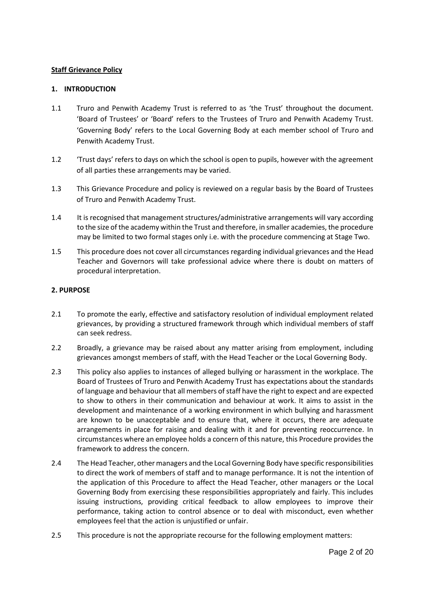#### **Staff Grievance Policy**

#### **1. INTRODUCTION**

- 1.1 Truro and Penwith Academy Trust is referred to as 'the Trust' throughout the document. 'Board of Trustees' or 'Board' refers to the Trustees of Truro and Penwith Academy Trust. 'Governing Body' refers to the Local Governing Body at each member school of Truro and Penwith Academy Trust.
- 1.2 'Trust days' refers to days on which the school is open to pupils, however with the agreement of all parties these arrangements may be varied.
- 1.3 This Grievance Procedure and policy is reviewed on a regular basis by the Board of Trustees of Truro and Penwith Academy Trust.
- 1.4 It is recognised that management structures/administrative arrangements will vary according to the size of the academy within the Trust and therefore, in smaller academies, the procedure may be limited to two formal stages only i.e. with the procedure commencing at Stage Two.
- 1.5 This procedure does not cover all circumstances regarding individual grievances and the Head Teacher and Governors will take professional advice where there is doubt on matters of procedural interpretation.

# **2. PURPOSE**

- 2.1 To promote the early, effective and satisfactory resolution of individual employment related grievances, by providing a structured framework through which individual members of staff can seek redress.
- 2.2 Broadly, a grievance may be raised about any matter arising from employment, including grievances amongst members of staff, with the Head Teacher or the Local Governing Body.
- 2.3 This policy also applies to instances of alleged bullying or harassment in the workplace. The Board of Trustees of Truro and Penwith Academy Trust has expectations about the standards of language and behaviour that all members of staff have the right to expect and are expected to show to others in their communication and behaviour at work. It aims to assist in the development and maintenance of a working environment in which bullying and harassment are known to be unacceptable and to ensure that, where it occurs, there are adequate arrangements in place for raising and dealing with it and for preventing reoccurrence. In circumstances where an employee holds a concern of this nature, this Procedure provides the framework to address the concern.
- 2.4 The Head Teacher, other managers and the Local Governing Body have specific responsibilities to direct the work of members of staff and to manage performance. It is not the intention of the application of this Procedure to affect the Head Teacher, other managers or the Local Governing Body from exercising these responsibilities appropriately and fairly. This includes issuing instructions, providing critical feedback to allow employees to improve their performance, taking action to control absence or to deal with misconduct, even whether employees feel that the action is unjustified or unfair.
- 2.5 This procedure is not the appropriate recourse for the following employment matters: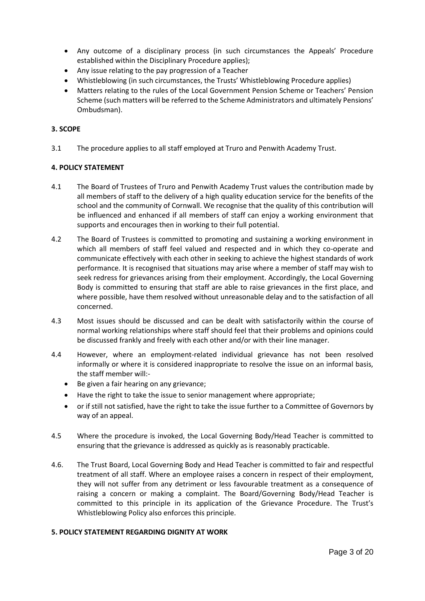- Any outcome of a disciplinary process (in such circumstances the Appeals' Procedure established within the Disciplinary Procedure applies);
- Any issue relating to the pay progression of a Teacher
- Whistleblowing (in such circumstances, the Trusts' Whistleblowing Procedure applies)
- Matters relating to the rules of the Local Government Pension Scheme or Teachers' Pension Scheme (such matters will be referred to the Scheme Administrators and ultimately Pensions' Ombudsman).

# **3. SCOPE**

3.1 The procedure applies to all staff employed at Truro and Penwith Academy Trust.

# **4. POLICY STATEMENT**

- 4.1 The Board of Trustees of Truro and Penwith Academy Trust values the contribution made by all members of staff to the delivery of a high quality education service for the benefits of the school and the community of Cornwall. We recognise that the quality of this contribution will be influenced and enhanced if all members of staff can enjoy a working environment that supports and encourages then in working to their full potential.
- 4.2 The Board of Trustees is committed to promoting and sustaining a working environment in which all members of staff feel valued and respected and in which they co-operate and communicate effectively with each other in seeking to achieve the highest standards of work performance. It is recognised that situations may arise where a member of staff may wish to seek redress for grievances arising from their employment. Accordingly, the Local Governing Body is committed to ensuring that staff are able to raise grievances in the first place, and where possible, have them resolved without unreasonable delay and to the satisfaction of all concerned.
- 4.3 Most issues should be discussed and can be dealt with satisfactorily within the course of normal working relationships where staff should feel that their problems and opinions could be discussed frankly and freely with each other and/or with their line manager.
- 4.4 However, where an employment-related individual grievance has not been resolved informally or where it is considered inappropriate to resolve the issue on an informal basis, the staff member will:-
	- Be given a fair hearing on any grievance;
	- Have the right to take the issue to senior management where appropriate;
	- or if still not satisfied, have the right to take the issue further to a Committee of Governors by way of an appeal.
- 4.5 Where the procedure is invoked, the Local Governing Body/Head Teacher is committed to ensuring that the grievance is addressed as quickly as is reasonably practicable.
- 4.6. The Trust Board, Local Governing Body and Head Teacher is committed to fair and respectful treatment of all staff. Where an employee raises a concern in respect of their employment, they will not suffer from any detriment or less favourable treatment as a consequence of raising a concern or making a complaint. The Board/Governing Body/Head Teacher is committed to this principle in its application of the Grievance Procedure. The Trust's Whistleblowing Policy also enforces this principle.

#### **5. POLICY STATEMENT REGARDING DIGNITY AT WORK**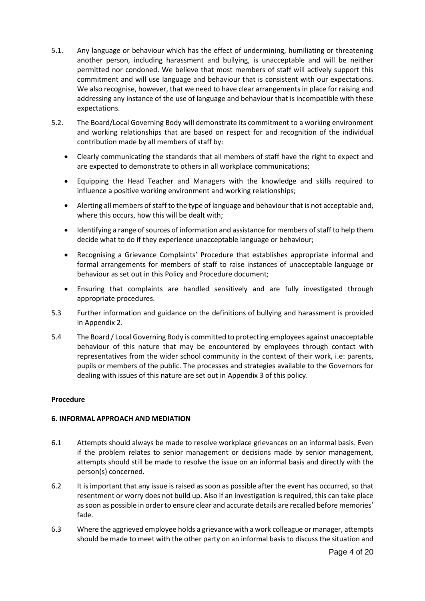- 5.1. Any language or behaviour which has the effect of undermining, humiliating or threatening another person, including harassment and bullying, is unacceptable and will be neither permitted nor condoned. We believe that most members of staff will actively support this commitment and will use language and behaviour that is consistent with our expectations. We also recognise, however, that we need to have clear arrangements in place for raising and addressing any instance of the use of language and behaviour that is incompatible with these expectations.
- 5.2. The Board/Local Governing Body will demonstrate its commitment to a working environment and working relationships that are based on respect for and recognition of the individual contribution made by all members of staff by:
	- Clearly communicating the standards that all members of staff have the right to expect and are expected to demonstrate to others in all workplace communications;
	- Equipping the Head Teacher and Managers with the knowledge and skills required to influence a positive working environment and working relationships;
	- Alerting all members of staff to the type of language and behaviour that is not acceptable and, where this occurs, how this will be dealt with;
	- Identifying a range of sources of information and assistance for members of staff to help them decide what to do if they experience unacceptable language or behaviour;
	- Recognising a Grievance Complaints' Procedure that establishes appropriate informal and formal arrangements for members of staff to raise instances of unacceptable language or behaviour as set out in this Policy and Procedure document;
	- Ensuring that complaints are handled sensitively and are fully investigated through appropriate procedures.
- 5.3 Further information and guidance on the definitions of bullying and harassment is provided in Appendix 2.
- 5.4 The Board / Local Governing Body is committed to protecting employees against unacceptable behaviour of this nature that may be encountered by employees through contact with representatives from the wider school community in the context of their work, i.e: parents, pupils or members of the public. The processes and strategies available to the Governors for dealing with issues of this nature are set out in Appendix 3 of this policy.

#### **Procedure**

# **6. INFORMAL APPROACH AND MEDIATION**

- 6.1 Attempts should always be made to resolve workplace grievances on an informal basis. Even if the problem relates to senior management or decisions made by senior management, attempts should still be made to resolve the issue on an informal basis and directly with the person(s) concerned.
- 6.2 It is important that any issue is raised as soon as possible after the event has occurred, so that resentment or worry does not build up. Also if an investigation is required, this can take place as soon as possible in order to ensure clear and accurate details are recalled before memories' fade.
- 6.3 Where the aggrieved employee holds a grievance with a work colleague or manager, attempts should be made to meet with the other party on an informal basis to discuss the situation and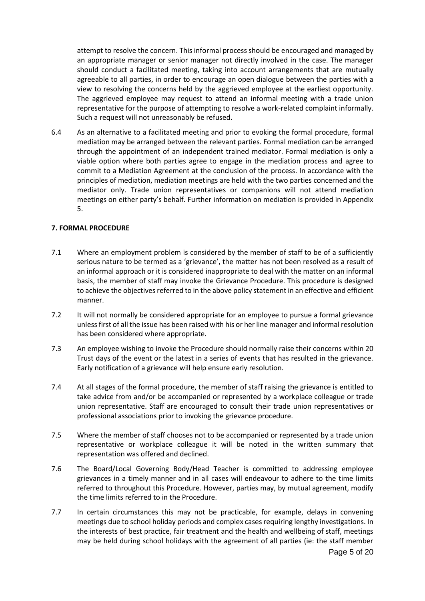attempt to resolve the concern. This informal process should be encouraged and managed by an appropriate manager or senior manager not directly involved in the case. The manager should conduct a facilitated meeting, taking into account arrangements that are mutually agreeable to all parties, in order to encourage an open dialogue between the parties with a view to resolving the concerns held by the aggrieved employee at the earliest opportunity. The aggrieved employee may request to attend an informal meeting with a trade union representative for the purpose of attempting to resolve a work-related complaint informally. Such a request will not unreasonably be refused.

6.4 As an alternative to a facilitated meeting and prior to evoking the formal procedure, formal mediation may be arranged between the relevant parties. Formal mediation can be arranged through the appointment of an independent trained mediator. Formal mediation is only a viable option where both parties agree to engage in the mediation process and agree to commit to a Mediation Agreement at the conclusion of the process. In accordance with the principles of mediation, mediation meetings are held with the two parties concerned and the mediator only. Trade union representatives or companions will not attend mediation meetings on either party's behalf. Further information on mediation is provided in Appendix 5.

#### **7. FORMAL PROCEDURE**

- 7.1 Where an employment problem is considered by the member of staff to be of a sufficiently serious nature to be termed as a 'grievance', the matter has not been resolved as a result of an informal approach or it is considered inappropriate to deal with the matter on an informal basis, the member of staff may invoke the Grievance Procedure. This procedure is designed to achieve the objectives referred to in the above policy statement in an effective and efficient manner.
- 7.2 It will not normally be considered appropriate for an employee to pursue a formal grievance unless first of all the issue has been raised with his or her line manager and informal resolution has been considered where appropriate.
- 7.3 An employee wishing to invoke the Procedure should normally raise their concerns within 20 Trust days of the event or the latest in a series of events that has resulted in the grievance. Early notification of a grievance will help ensure early resolution.
- 7.4 At all stages of the formal procedure, the member of staff raising the grievance is entitled to take advice from and/or be accompanied or represented by a workplace colleague or trade union representative. Staff are encouraged to consult their trade union representatives or professional associations prior to invoking the grievance procedure.
- 7.5 Where the member of staff chooses not to be accompanied or represented by a trade union representative or workplace colleague it will be noted in the written summary that representation was offered and declined.
- 7.6 The Board/Local Governing Body/Head Teacher is committed to addressing employee grievances in a timely manner and in all cases will endeavour to adhere to the time limits referred to throughout this Procedure. However, parties may, by mutual agreement, modify the time limits referred to in the Procedure.
- 7.7 In certain circumstances this may not be practicable, for example, delays in convening meetings due to school holiday periods and complex cases requiring lengthy investigations. In the interests of best practice, fair treatment and the health and wellbeing of staff, meetings may be held during school holidays with the agreement of all parties (ie: the staff member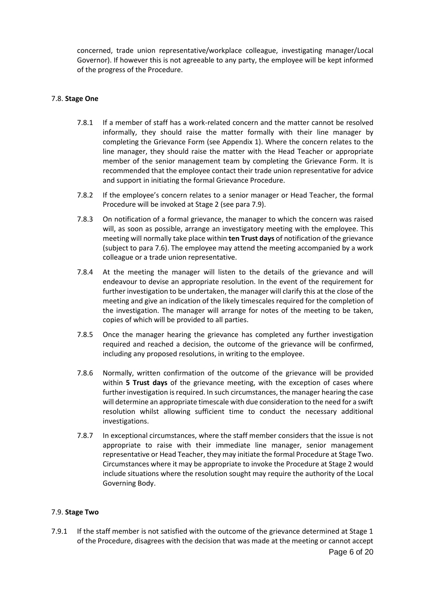concerned, trade union representative/workplace colleague, investigating manager/Local Governor). If however this is not agreeable to any party, the employee will be kept informed of the progress of the Procedure.

#### 7.8. **Stage One**

- 7.8.1 If a member of staff has a work-related concern and the matter cannot be resolved informally, they should raise the matter formally with their line manager by completing the Grievance Form (see Appendix 1). Where the concern relates to the line manager, they should raise the matter with the Head Teacher or appropriate member of the senior management team by completing the Grievance Form. It is recommended that the employee contact their trade union representative for advice and support in initiating the formal Grievance Procedure.
- 7.8.2 If the employee's concern relates to a senior manager or Head Teacher, the formal Procedure will be invoked at Stage 2 (see para 7.9).
- 7.8.3 On notification of a formal grievance, the manager to which the concern was raised will, as soon as possible, arrange an investigatory meeting with the employee. This meeting will normally take place within **ten Trust days** of notification of the grievance (subject to para 7.6). The employee may attend the meeting accompanied by a work colleague or a trade union representative.
- 7.8.4 At the meeting the manager will listen to the details of the grievance and will endeavour to devise an appropriate resolution. In the event of the requirement for further investigation to be undertaken, the manager will clarify this at the close of the meeting and give an indication of the likely timescales required for the completion of the investigation. The manager will arrange for notes of the meeting to be taken, copies of which will be provided to all parties.
- 7.8.5 Once the manager hearing the grievance has completed any further investigation required and reached a decision, the outcome of the grievance will be confirmed, including any proposed resolutions, in writing to the employee.
- 7.8.6 Normally, written confirmation of the outcome of the grievance will be provided within **5 Trust days** of the grievance meeting, with the exception of cases where further investigation is required. In such circumstances, the manager hearing the case will determine an appropriate timescale with due consideration to the need for a swift resolution whilst allowing sufficient time to conduct the necessary additional investigations.
- 7.8.7 In exceptional circumstances, where the staff member considers that the issue is not appropriate to raise with their immediate line manager, senior management representative or Head Teacher, they may initiate the formal Procedure at Stage Two. Circumstances where it may be appropriate to invoke the Procedure at Stage 2 would include situations where the resolution sought may require the authority of the Local Governing Body.

#### 7.9. **Stage Two**

Page 6 of 20 7.9.1 If the staff member is not satisfied with the outcome of the grievance determined at Stage 1 of the Procedure, disagrees with the decision that was made at the meeting or cannot accept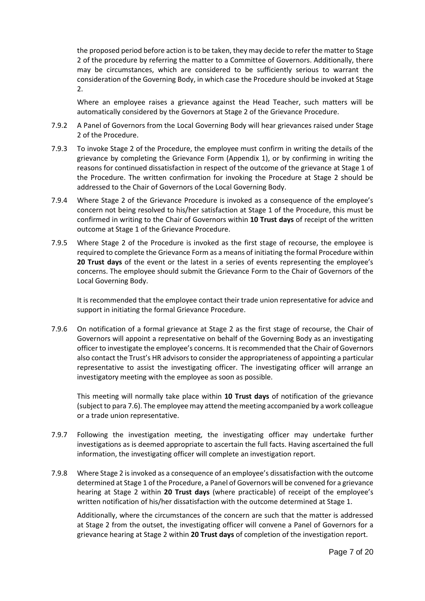the proposed period before action is to be taken, they may decide to refer the matter to Stage 2 of the procedure by referring the matter to a Committee of Governors. Additionally, there may be circumstances, which are considered to be sufficiently serious to warrant the consideration of the Governing Body, in which case the Procedure should be invoked at Stage 2.

Where an employee raises a grievance against the Head Teacher, such matters will be automatically considered by the Governors at Stage 2 of the Grievance Procedure.

- 7.9.2 A Panel of Governors from the Local Governing Body will hear grievances raised under Stage 2 of the Procedure.
- 7.9.3 To invoke Stage 2 of the Procedure, the employee must confirm in writing the details of the grievance by completing the Grievance Form (Appendix 1), or by confirming in writing the reasons for continued dissatisfaction in respect of the outcome of the grievance at Stage 1 of the Procedure. The written confirmation for invoking the Procedure at Stage 2 should be addressed to the Chair of Governors of the Local Governing Body.
- 7.9.4 Where Stage 2 of the Grievance Procedure is invoked as a consequence of the employee's concern not being resolved to his/her satisfaction at Stage 1 of the Procedure, this must be confirmed in writing to the Chair of Governors within **10 Trust days** of receipt of the written outcome at Stage 1 of the Grievance Procedure.
- 7.9.5 Where Stage 2 of the Procedure is invoked as the first stage of recourse, the employee is required to complete the Grievance Form as a means of initiating the formal Procedure within **20 Trust days** of the event or the latest in a series of events representing the employee's concerns. The employee should submit the Grievance Form to the Chair of Governors of the Local Governing Body.

It is recommended that the employee contact their trade union representative for advice and support in initiating the formal Grievance Procedure.

7.9.6 On notification of a formal grievance at Stage 2 as the first stage of recourse, the Chair of Governors will appoint a representative on behalf of the Governing Body as an investigating officer to investigate the employee's concerns. It is recommended that the Chair of Governors also contact the Trust's HR advisors to consider the appropriateness of appointing a particular representative to assist the investigating officer. The investigating officer will arrange an investigatory meeting with the employee as soon as possible.

This meeting will normally take place within **10 Trust days** of notification of the grievance (subject to para 7.6). The employee may attend the meeting accompanied by a work colleague or a trade union representative.

- 7.9.7 Following the investigation meeting, the investigating officer may undertake further investigations as is deemed appropriate to ascertain the full facts. Having ascertained the full information, the investigating officer will complete an investigation report.
- 7.9.8 Where Stage 2 is invoked as a consequence of an employee's dissatisfaction with the outcome determined at Stage 1 of the Procedure, a Panel of Governors will be convened for a grievance hearing at Stage 2 within **20 Trust days** (where practicable) of receipt of the employee's written notification of his/her dissatisfaction with the outcome determined at Stage 1.

Additionally, where the circumstances of the concern are such that the matter is addressed at Stage 2 from the outset, the investigating officer will convene a Panel of Governors for a grievance hearing at Stage 2 within **20 Trust days** of completion of the investigation report.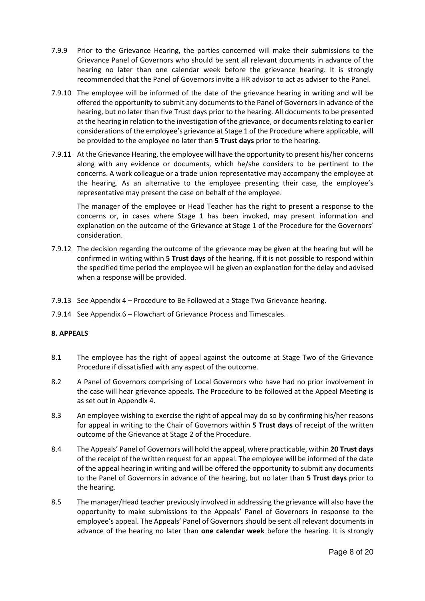- 7.9.9 Prior to the Grievance Hearing, the parties concerned will make their submissions to the Grievance Panel of Governors who should be sent all relevant documents in advance of the hearing no later than one calendar week before the grievance hearing. It is strongly recommended that the Panel of Governors invite a HR advisor to act as adviser to the Panel.
- 7.9.10 The employee will be informed of the date of the grievance hearing in writing and will be offered the opportunity to submit any documents to the Panel of Governors in advance of the hearing, but no later than five Trust days prior to the hearing. All documents to be presented at the hearing in relation to the investigation of the grievance, or documents relating to earlier considerations of the employee's grievance at Stage 1 of the Procedure where applicable, will be provided to the employee no later than **5 Trust days** prior to the hearing.
- 7.9.11 At the Grievance Hearing, the employee will have the opportunity to present his/her concerns along with any evidence or documents, which he/she considers to be pertinent to the concerns. A work colleague or a trade union representative may accompany the employee at the hearing. As an alternative to the employee presenting their case, the employee's representative may present the case on behalf of the employee.

The manager of the employee or Head Teacher has the right to present a response to the concerns or, in cases where Stage 1 has been invoked, may present information and explanation on the outcome of the Grievance at Stage 1 of the Procedure for the Governors' consideration.

- 7.9.12 The decision regarding the outcome of the grievance may be given at the hearing but will be confirmed in writing within **5 Trust days** of the hearing. If it is not possible to respond within the specified time period the employee will be given an explanation for the delay and advised when a response will be provided.
- 7.9.13 See Appendix 4 Procedure to Be Followed at a Stage Two Grievance hearing.
- 7.9.14 See Appendix 6 Flowchart of Grievance Process and Timescales.

#### **8. APPEALS**

- 8.1 The employee has the right of appeal against the outcome at Stage Two of the Grievance Procedure if dissatisfied with any aspect of the outcome.
- 8.2 A Panel of Governors comprising of Local Governors who have had no prior involvement in the case will hear grievance appeals. The Procedure to be followed at the Appeal Meeting is as set out in Appendix 4.
- 8.3 An employee wishing to exercise the right of appeal may do so by confirming his/her reasons for appeal in writing to the Chair of Governors within **5 Trust days** of receipt of the written outcome of the Grievance at Stage 2 of the Procedure.
- 8.4 The Appeals' Panel of Governors will hold the appeal, where practicable, within **20 Trust days** of the receipt of the written request for an appeal. The employee will be informed of the date of the appeal hearing in writing and will be offered the opportunity to submit any documents to the Panel of Governors in advance of the hearing, but no later than **5 Trust days** prior to the hearing.
- 8.5 The manager/Head teacher previously involved in addressing the grievance will also have the opportunity to make submissions to the Appeals' Panel of Governors in response to the employee's appeal. The Appeals' Panel of Governors should be sent all relevant documents in advance of the hearing no later than **one calendar week** before the hearing. It is strongly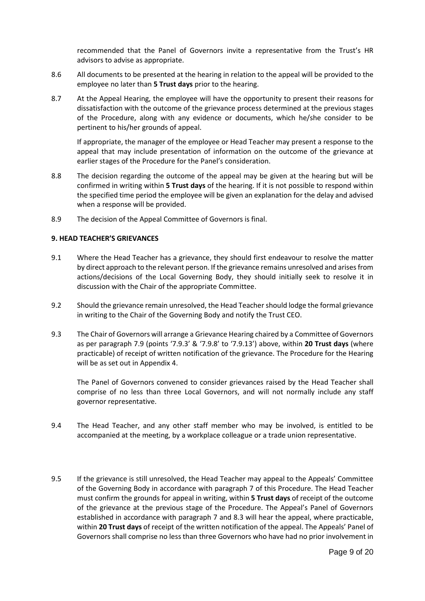recommended that the Panel of Governors invite a representative from the Trust's HR advisors to advise as appropriate.

- 8.6 All documents to be presented at the hearing in relation to the appeal will be provided to the employee no later than **5 Trust days** prior to the hearing.
- 8.7 At the Appeal Hearing, the employee will have the opportunity to present their reasons for dissatisfaction with the outcome of the grievance process determined at the previous stages of the Procedure, along with any evidence or documents, which he/she consider to be pertinent to his/her grounds of appeal.

If appropriate, the manager of the employee or Head Teacher may present a response to the appeal that may include presentation of information on the outcome of the grievance at earlier stages of the Procedure for the Panel's consideration.

- 8.8 The decision regarding the outcome of the appeal may be given at the hearing but will be confirmed in writing within **5 Trust days** of the hearing. If it is not possible to respond within the specified time period the employee will be given an explanation for the delay and advised when a response will be provided.
- 8.9 The decision of the Appeal Committee of Governors is final.

#### **9. HEAD TEACHER'S GRIEVANCES**

- 9.1 Where the Head Teacher has a grievance, they should first endeavour to resolve the matter by direct approach to the relevant person. If the grievance remains unresolved and arises from actions/decisions of the Local Governing Body, they should initially seek to resolve it in discussion with the Chair of the appropriate Committee.
- 9.2 Should the grievance remain unresolved, the Head Teacher should lodge the formal grievance in writing to the Chair of the Governing Body and notify the Trust CEO.
- 9.3 The Chair of Governors will arrange a Grievance Hearing chaired by a Committee of Governors as per paragraph 7.9 (points '7.9.3' & '7.9.8' to '7.9.13') above, within **20 Trust days** (where practicable) of receipt of written notification of the grievance. The Procedure for the Hearing will be as set out in Appendix 4.

The Panel of Governors convened to consider grievances raised by the Head Teacher shall comprise of no less than three Local Governors, and will not normally include any staff governor representative.

- 9.4 The Head Teacher, and any other staff member who may be involved, is entitled to be accompanied at the meeting, by a workplace colleague or a trade union representative.
- 9.5 If the grievance is still unresolved, the Head Teacher may appeal to the Appeals' Committee of the Governing Body in accordance with paragraph 7 of this Procedure. The Head Teacher must confirm the grounds for appeal in writing, within **5 Trust days** of receipt of the outcome of the grievance at the previous stage of the Procedure. The Appeal's Panel of Governors established in accordance with paragraph 7 and 8.3 will hear the appeal, where practicable, within **20 Trust days** of receipt of the written notification of the appeal. The Appeals' Panel of Governors shall comprise no less than three Governors who have had no prior involvement in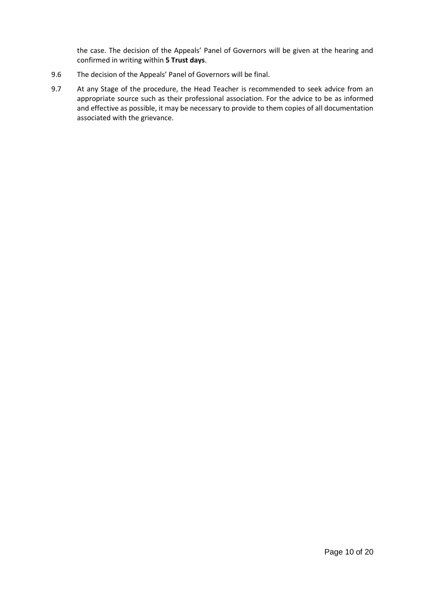the case. The decision of the Appeals' Panel of Governors will be given at the hearing and confirmed in writing within **5 Trust days**.

- 9.6 The decision of the Appeals' Panel of Governors will be final.
- 9.7 At any Stage of the procedure, the Head Teacher is recommended to seek advice from an appropriate source such as their professional association. For the advice to be as informed and effective as possible, it may be necessary to provide to them copies of all documentation associated with the grievance.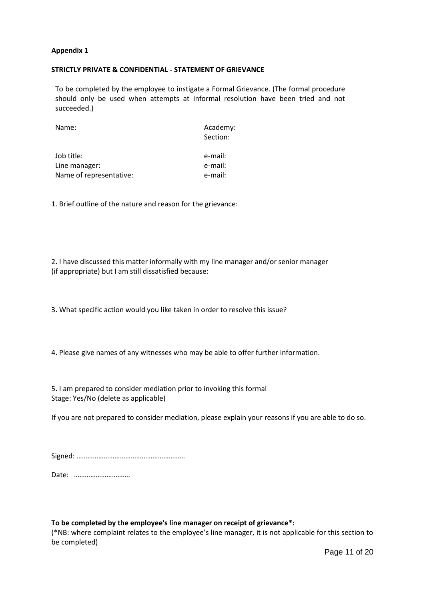#### **STRICTLY PRIVATE & CONFIDENTIAL - STATEMENT OF GRIEVANCE**

To be completed by the employee to instigate a Formal Grievance. (The formal procedure should only be used when attempts at informal resolution have been tried and not succeeded.)

| Name:                   | Academy:<br>Section: |
|-------------------------|----------------------|
| Job title:              | e-mail:              |
| Line manager:           | e-mail:              |
| Name of representative: | e-mail:              |

1. Brief outline of the nature and reason for the grievance:

2. I have discussed this matter informally with my line manager and/or senior manager (if appropriate) but I am still dissatisfied because:

3. What specific action would you like taken in order to resolve this issue?

4. Please give names of any witnesses who may be able to offer further information.

5. I am prepared to consider mediation prior to invoking this formal Stage: Yes/No (delete as applicable)

If you are not prepared to consider mediation, please explain your reasons if you are able to do so.

Date: ………………………….

#### **To be completed by the employee's line manager on receipt of grievance\*:**

(\*NB: where complaint relates to the employee's line manager, it is not applicable for this section to be completed)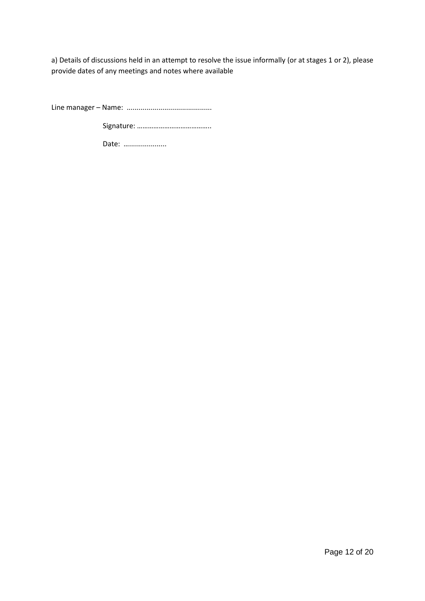a) Details of discussions held in an attempt to resolve the issue informally (or at stages 1 or 2), please provide dates of any meetings and notes where available

Line manager – Name: ...........................................

Signature: …………………………………..

Date: .......................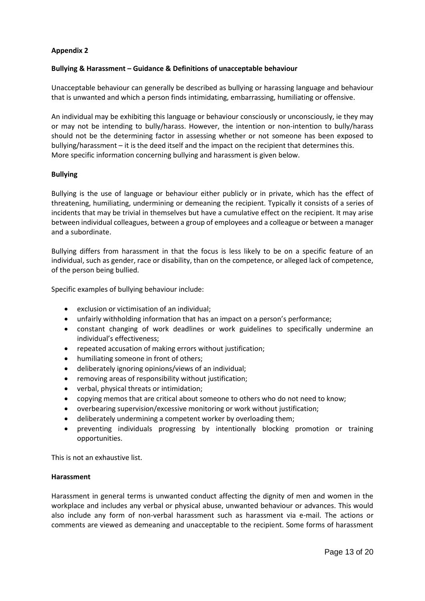#### **Bullying & Harassment – Guidance & Definitions of unacceptable behaviour**

Unacceptable behaviour can generally be described as bullying or harassing language and behaviour that is unwanted and which a person finds intimidating, embarrassing, humiliating or offensive.

An individual may be exhibiting this language or behaviour consciously or unconsciously, ie they may or may not be intending to bully/harass. However, the intention or non-intention to bully/harass should not be the determining factor in assessing whether or not someone has been exposed to bullying/harassment – it is the deed itself and the impact on the recipient that determines this. More specific information concerning bullying and harassment is given below.

#### **Bullying**

Bullying is the use of language or behaviour either publicly or in private, which has the effect of threatening, humiliating, undermining or demeaning the recipient. Typically it consists of a series of incidents that may be trivial in themselves but have a cumulative effect on the recipient. It may arise between individual colleagues, between a group of employees and a colleague or between a manager and a subordinate.

Bullying differs from harassment in that the focus is less likely to be on a specific feature of an individual, such as gender, race or disability, than on the competence, or alleged lack of competence, of the person being bullied.

Specific examples of bullying behaviour include:

- exclusion or victimisation of an individual;
- unfairly withholding information that has an impact on a person's performance;
- constant changing of work deadlines or work guidelines to specifically undermine an individual's effectiveness;
- repeated accusation of making errors without justification;
- humiliating someone in front of others;
- deliberately ignoring opinions/views of an individual;
- removing areas of responsibility without justification;
- verbal, physical threats or intimidation;
- copying memos that are critical about someone to others who do not need to know;
- overbearing supervision/excessive monitoring or work without justification;
- deliberately undermining a competent worker by overloading them;
- preventing individuals progressing by intentionally blocking promotion or training opportunities.

This is not an exhaustive list.

#### **Harassment**

Harassment in general terms is unwanted conduct affecting the dignity of men and women in the workplace and includes any verbal or physical abuse, unwanted behaviour or advances. This would also include any form of non-verbal harassment such as harassment via e-mail. The actions or comments are viewed as demeaning and unacceptable to the recipient. Some forms of harassment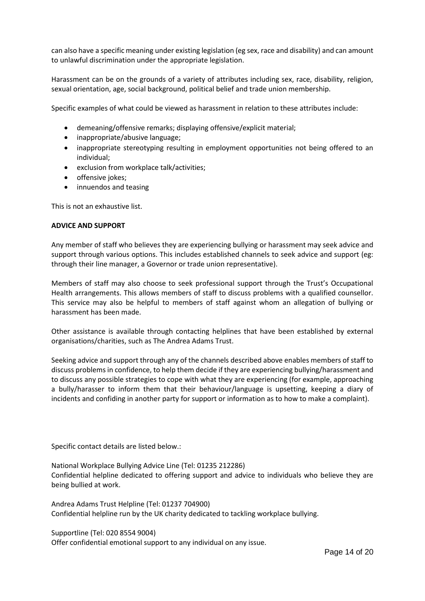can also have a specific meaning under existing legislation (eg sex, race and disability) and can amount to unlawful discrimination under the appropriate legislation.

Harassment can be on the grounds of a variety of attributes including sex, race, disability, religion, sexual orientation, age, social background, political belief and trade union membership.

Specific examples of what could be viewed as harassment in relation to these attributes include:

- demeaning/offensive remarks; displaying offensive/explicit material;
- inappropriate/abusive language;
- inappropriate stereotyping resulting in employment opportunities not being offered to an individual;
- exclusion from workplace talk/activities;
- offensive jokes;
- innuendos and teasing

This is not an exhaustive list.

#### **ADVICE AND SUPPORT**

Any member of staff who believes they are experiencing bullying or harassment may seek advice and support through various options. This includes established channels to seek advice and support (eg: through their line manager, a Governor or trade union representative).

Members of staff may also choose to seek professional support through the Trust's Occupational Health arrangements. This allows members of staff to discuss problems with a qualified counsellor. This service may also be helpful to members of staff against whom an allegation of bullying or harassment has been made.

Other assistance is available through contacting helplines that have been established by external organisations/charities, such as The Andrea Adams Trust.

Seeking advice and support through any of the channels described above enables members of staff to discuss problems in confidence, to help them decide if they are experiencing bullying/harassment and to discuss any possible strategies to cope with what they are experiencing (for example, approaching a bully/harasser to inform them that their behaviour/language is upsetting, keeping a diary of incidents and confiding in another party for support or information as to how to make a complaint).

Specific contact details are listed below.:

National Workplace Bullying Advice Line (Tel: 01235 212286) Confidential helpline dedicated to offering support and advice to individuals who believe they are being bullied at work.

Andrea Adams Trust Helpline (Tel: 01237 704900) Confidential helpline run by the UK charity dedicated to tackling workplace bullying.

Supportline (Tel: 020 8554 9004)

Offer confidential emotional support to any individual on any issue.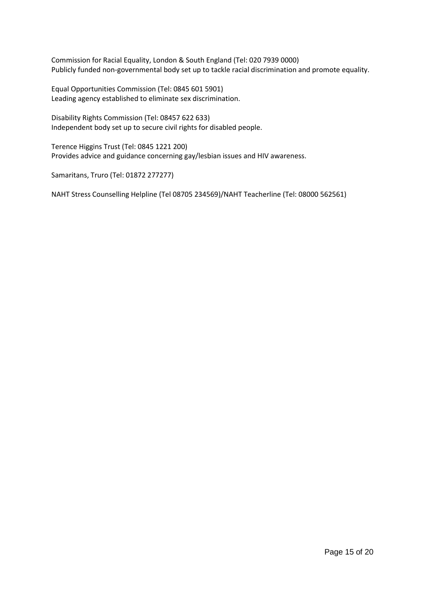Commission for Racial Equality, London & South England (Tel: 020 7939 0000) Publicly funded non-governmental body set up to tackle racial discrimination and promote equality.

Equal Opportunities Commission (Tel: 0845 601 5901) Leading agency established to eliminate sex discrimination.

Disability Rights Commission (Tel: 08457 622 633) Independent body set up to secure civil rights for disabled people.

Terence Higgins Trust (Tel: 0845 1221 200) Provides advice and guidance concerning gay/lesbian issues and HIV awareness.

Samaritans, Truro (Tel: 01872 277277)

NAHT Stress Counselling Helpline (Tel 08705 234569)/NAHT Teacherline (Tel: 08000 562561)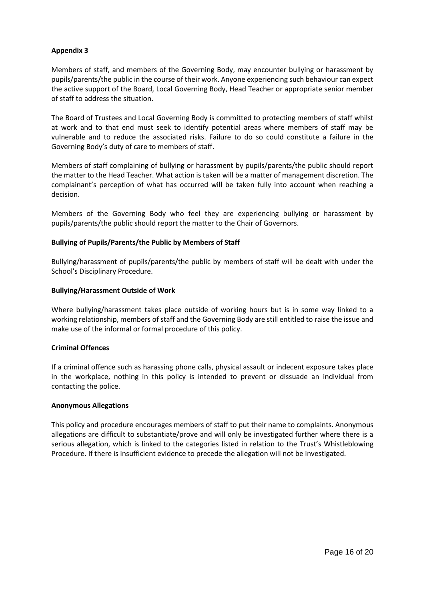Members of staff, and members of the Governing Body, may encounter bullying or harassment by pupils/parents/the public in the course of their work. Anyone experiencing such behaviour can expect the active support of the Board, Local Governing Body, Head Teacher or appropriate senior member of staff to address the situation.

The Board of Trustees and Local Governing Body is committed to protecting members of staff whilst at work and to that end must seek to identify potential areas where members of staff may be vulnerable and to reduce the associated risks. Failure to do so could constitute a failure in the Governing Body's duty of care to members of staff.

Members of staff complaining of bullying or harassment by pupils/parents/the public should report the matter to the Head Teacher. What action is taken will be a matter of management discretion. The complainant's perception of what has occurred will be taken fully into account when reaching a decision.

Members of the Governing Body who feel they are experiencing bullying or harassment by pupils/parents/the public should report the matter to the Chair of Governors.

#### **Bullying of Pupils/Parents/the Public by Members of Staff**

Bullying/harassment of pupils/parents/the public by members of staff will be dealt with under the School's Disciplinary Procedure.

#### **Bullying/Harassment Outside of Work**

Where bullying/harassment takes place outside of working hours but is in some way linked to a working relationship, members of staff and the Governing Body are still entitled to raise the issue and make use of the informal or formal procedure of this policy.

#### **Criminal Offences**

If a criminal offence such as harassing phone calls, physical assault or indecent exposure takes place in the workplace, nothing in this policy is intended to prevent or dissuade an individual from contacting the police.

#### **Anonymous Allegations**

This policy and procedure encourages members of staff to put their name to complaints. Anonymous allegations are difficult to substantiate/prove and will only be investigated further where there is a serious allegation, which is linked to the categories listed in relation to the Trust's Whistleblowing Procedure. If there is insufficient evidence to precede the allegation will not be investigated.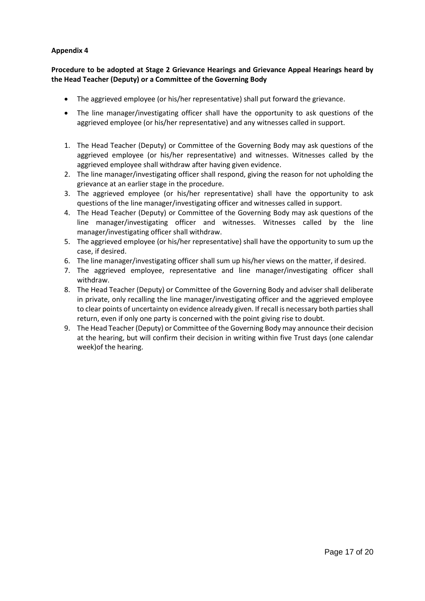# **Procedure to be adopted at Stage 2 Grievance Hearings and Grievance Appeal Hearings heard by the Head Teacher (Deputy) or a Committee of the Governing Body**

- The aggrieved employee (or his/her representative) shall put forward the grievance.
- The line manager/investigating officer shall have the opportunity to ask questions of the aggrieved employee (or his/her representative) and any witnesses called in support.
- 1. The Head Teacher (Deputy) or Committee of the Governing Body may ask questions of the aggrieved employee (or his/her representative) and witnesses. Witnesses called by the aggrieved employee shall withdraw after having given evidence.
- 2. The line manager/investigating officer shall respond, giving the reason for not upholding the grievance at an earlier stage in the procedure.
- 3. The aggrieved employee (or his/her representative) shall have the opportunity to ask questions of the line manager/investigating officer and witnesses called in support.
- 4. The Head Teacher (Deputy) or Committee of the Governing Body may ask questions of the line manager/investigating officer and witnesses. Witnesses called by the line manager/investigating officer shall withdraw.
- 5. The aggrieved employee (or his/her representative) shall have the opportunity to sum up the case, if desired.
- 6. The line manager/investigating officer shall sum up his/her views on the matter, if desired.
- 7. The aggrieved employee, representative and line manager/investigating officer shall withdraw.
- 8. The Head Teacher (Deputy) or Committee of the Governing Body and adviser shall deliberate in private, only recalling the line manager/investigating officer and the aggrieved employee to clear points of uncertainty on evidence already given. If recall is necessary both parties shall return, even if only one party is concerned with the point giving rise to doubt.
- 9. The Head Teacher (Deputy) or Committee of the Governing Body may announce their decision at the hearing, but will confirm their decision in writing within five Trust days (one calendar week)of the hearing.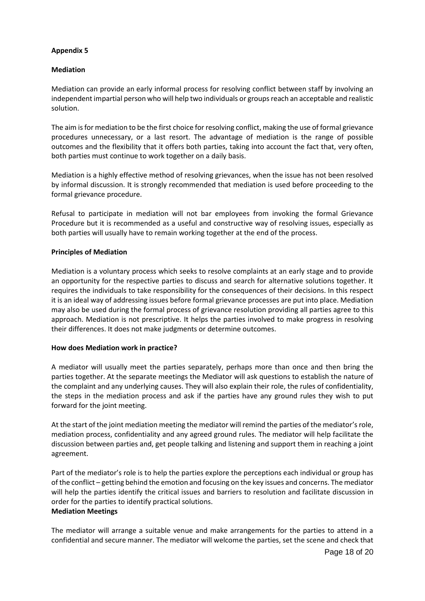# **Mediation**

Mediation can provide an early informal process for resolving conflict between staff by involving an independent impartial person who will help two individuals or groups reach an acceptable and realistic solution.

The aim is for mediation to be the first choice for resolving conflict, making the use of formal grievance procedures unnecessary, or a last resort. The advantage of mediation is the range of possible outcomes and the flexibility that it offers both parties, taking into account the fact that, very often, both parties must continue to work together on a daily basis.

Mediation is a highly effective method of resolving grievances, when the issue has not been resolved by informal discussion. It is strongly recommended that mediation is used before proceeding to the formal grievance procedure.

Refusal to participate in mediation will not bar employees from invoking the formal Grievance Procedure but it is recommended as a useful and constructive way of resolving issues, especially as both parties will usually have to remain working together at the end of the process.

#### **Principles of Mediation**

Mediation is a voluntary process which seeks to resolve complaints at an early stage and to provide an opportunity for the respective parties to discuss and search for alternative solutions together. It requires the individuals to take responsibility for the consequences of their decisions. In this respect it is an ideal way of addressing issues before formal grievance processes are put into place. Mediation may also be used during the formal process of grievance resolution providing all parties agree to this approach. Mediation is not prescriptive. It helps the parties involved to make progress in resolving their differences. It does not make judgments or determine outcomes.

#### **How does Mediation work in practice?**

A mediator will usually meet the parties separately, perhaps more than once and then bring the parties together. At the separate meetings the Mediator will ask questions to establish the nature of the complaint and any underlying causes. They will also explain their role, the rules of confidentiality, the steps in the mediation process and ask if the parties have any ground rules they wish to put forward for the joint meeting.

At the start of the joint mediation meeting the mediator will remind the parties of the mediator's role, mediation process, confidentiality and any agreed ground rules. The mediator will help facilitate the discussion between parties and, get people talking and listening and support them in reaching a joint agreement.

Part of the mediator's role is to help the parties explore the perceptions each individual or group has of the conflict – getting behind the emotion and focusing on the key issues and concerns. The mediator will help the parties identify the critical issues and barriers to resolution and facilitate discussion in order for the parties to identify practical solutions. **Mediation Meetings** 

The mediator will arrange a suitable venue and make arrangements for the parties to attend in a confidential and secure manner. The mediator will welcome the parties, set the scene and check that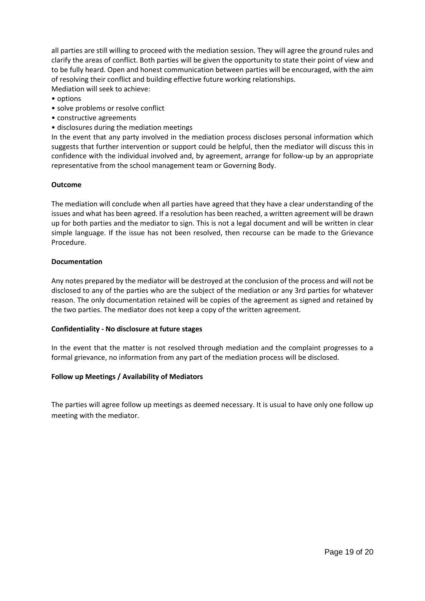all parties are still willing to proceed with the mediation session. They will agree the ground rules and clarify the areas of conflict. Both parties will be given the opportunity to state their point of view and to be fully heard. Open and honest communication between parties will be encouraged, with the aim of resolving their conflict and building effective future working relationships. Mediation will seek to achieve:

- options
- solve problems or resolve conflict
- constructive agreements
- disclosures during the mediation meetings

In the event that any party involved in the mediation process discloses personal information which suggests that further intervention or support could be helpful, then the mediator will discuss this in confidence with the individual involved and, by agreement, arrange for follow-up by an appropriate representative from the school management team or Governing Body.

#### **Outcome**

The mediation will conclude when all parties have agreed that they have a clear understanding of the issues and what has been agreed. If a resolution has been reached, a written agreement will be drawn up for both parties and the mediator to sign. This is not a legal document and will be written in clear simple language. If the issue has not been resolved, then recourse can be made to the Grievance Procedure.

#### **Documentation**

Any notes prepared by the mediator will be destroyed at the conclusion of the process and will not be disclosed to any of the parties who are the subject of the mediation or any 3rd parties for whatever reason. The only documentation retained will be copies of the agreement as signed and retained by the two parties. The mediator does not keep a copy of the written agreement.

#### **Confidentiality - No disclosure at future stages**

In the event that the matter is not resolved through mediation and the complaint progresses to a formal grievance, no information from any part of the mediation process will be disclosed.

#### **Follow up Meetings / Availability of Mediators**

The parties will agree follow up meetings as deemed necessary. It is usual to have only one follow up meeting with the mediator.